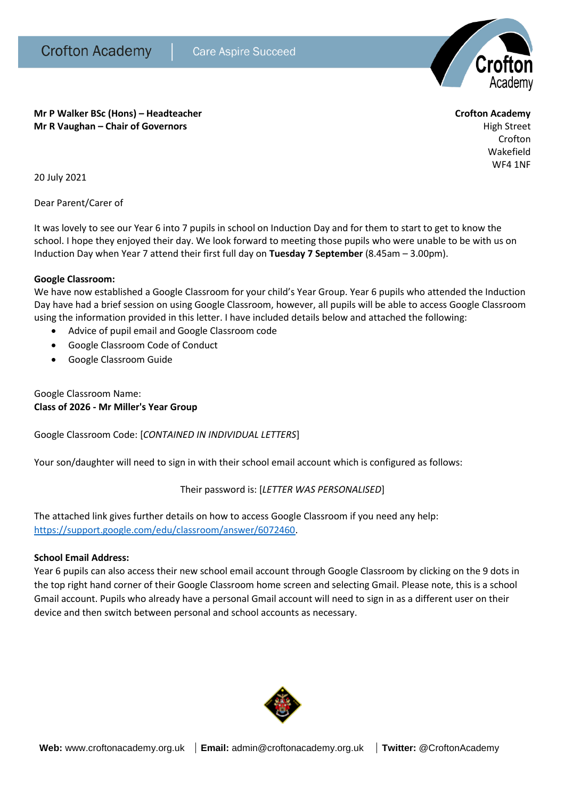

**Mr P Walker BSc (Hons) – Headteacher Crofton Academy Mr R Vaughan – Chair of Governors High Street High Street High Street High Street** 

Crofton Wakefield

WF4 1NF

20 July 2021

Dear Parent/Carer of

It was lovely to see our Year 6 into 7 pupils in school on Induction Day and for them to start to get to know the school. I hope they enjoyed their day. We look forward to meeting those pupils who were unable to be with us on Induction Day when Year 7 attend their first full day on **Tuesday 7 September** (8.45am – 3.00pm).

# **Google Classroom:**

We have now established a Google Classroom for your child's Year Group. Year 6 pupils who attended the Induction Day have had a brief session on using Google Classroom, however, all pupils will be able to access Google Classroom using the information provided in this letter. I have included details below and attached the following:

- Advice of pupil email and Google Classroom code
- Google Classroom Code of Conduct
- Google Classroom Guide

Google Classroom Name: **Class of 2026 - Mr Miller's Year Group**

Google Classroom Code: [*CONTAINED IN INDIVIDUAL LETTERS*]

Your son/daughter will need to sign in with their school email account which is configured as follows:

# Their password is: [*LETTER WAS PERSONALISED*]

The attached link gives further details on how to access Google Classroom if you need any help: [https://support.google.com/edu/classroom/answer/6072460.](https://support.google.com/edu/classroom/answer/6072460)

# **School Email Address:**

Year 6 pupils can also access their new school email account through Google Classroom by clicking on the 9 dots in the top right hand corner of their Google Classroom home screen and selecting Gmail. Please note, this is a school Gmail account. Pupils who already have a personal Gmail account will need to sign in as a different user on their device and then switch between personal and school accounts as necessary.